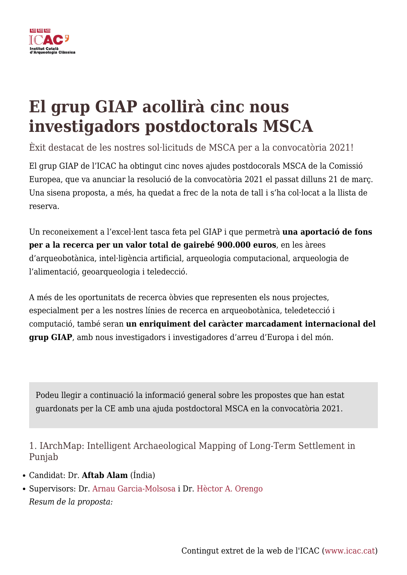

# **El grup GIAP acollirà cinc nous investigadors postdoctorals MSCA**

Èxit destacat de les nostres sol·licituds de MSCA per a la convocatòria 2021!

El grup GIAP de l'ICAC ha obtingut cinc noves ajudes postdocorals MSCA de la Comissió Europea, que va anunciar la resolució de la convocatòria 2021 el passat dilluns 21 de març. Una sisena proposta, a més, ha quedat a frec de la nota de tall i s'ha col·locat a la llista de reserva.

Un reconeixement a l'excel·lent tasca feta pel GIAP i que permetrà **una aportació de fons per a la recerca per un valor total de gairebé 900.000 euros**, en les àrees d'arqueobotànica, intel·ligència artificial, arqueologia computacional, arqueologia de l'alimentació, geoarqueologia i teledecció.

A més de les oportunitats de recerca òbvies que representen els nous projectes, especialment per a les nostres línies de recerca en arqueobotànica, teledetecció i computació, també seran **un enriquiment del caràcter marcadament internacional del grup GIAP**, amb nous investigadors i investigadores d'arreu d'Europa i del món.

Podeu llegir a continuació la informació general sobre les propostes que han estat guardonats per la CE amb una ajuda postdoctoral MSCA en la convocatòria 2021.

1. IArchMap: Intelligent Archaeological Mapping of Long-Term Settlement in Punjab

- Candidat: Dr. **Aftab Alam** (Índia)
- Supervisors: Dr. [Arnau Garcia-Molsosa](https://www.icac.cat/qui-som/personal/agarcia/) i Dr. [Hèctor A. Orengo](https://www.icac.cat/qui-som/personal/horengo/) *Resum de la proposta:*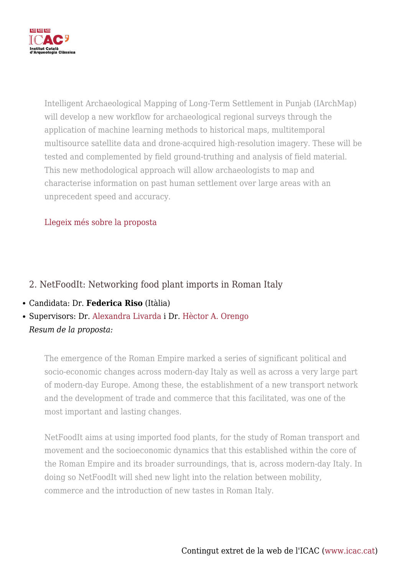

Intelligent Archaeological Mapping of Long-Term Settlement in Punjab (IArchMap) will develop a new workflow for archaeological regional surveys through the application of machine learning methods to historical maps, multitemporal multisource satellite data and drone-acquired high-resolution imagery. These will be tested and complemented by field ground-truthing and analysis of field material. This new methodological approach will allow archaeologists to map and characterise information on past human settlement over large areas with an unprecedent speed and accuracy.

# [Llegeix més sobre la proposta](https://giap.icac.cat/2022/03/21/5-msca-postdoc-grants-awarded-to-giap-icac/)

# 2. NetFoodIt: Networking food plant imports in Roman Italy

- Candidata: Dr. **Federica Riso** (Itàlia)
- Supervisors: Dr. [Alexandra Livarda](https://www.icac.cat/qui-som/personal/alivarda/) i Dr. [Hèctor A. Orengo](https://www.icac.cat/qui-som/personal/horengo/) *Resum de la proposta:*

The emergence of the Roman Empire marked a series of significant political and socio-economic changes across modern-day Italy as well as across a very large part of modern-day Europe. Among these, the establishment of a new transport network and the development of trade and commerce that this facilitated, was one of the most important and lasting changes.

NetFoodIt aims at using imported food plants, for the study of Roman transport and movement and the socioeconomic dynamics that this established within the core of the Roman Empire and its broader surroundings, that is, across modern-day Italy. In doing so NetFoodIt will shed new light into the relation between mobility, commerce and the introduction of new tastes in Roman Italy.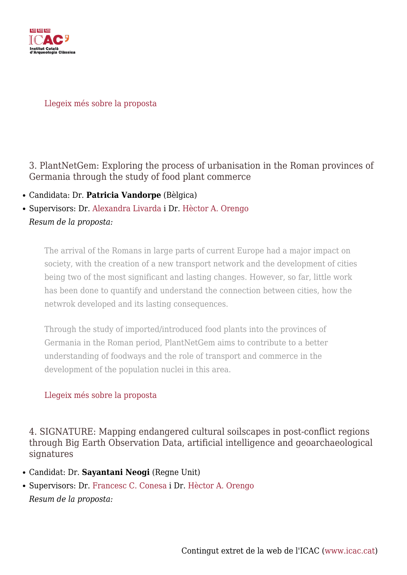

#### [Llegeix més sobre la proposta](https://giap.icac.cat/2022/03/21/5-msca-postdoc-grants-awarded-to-giap-icac/)

3. PlantNetGem: Exploring the process of urbanisation in the Roman provinces of Germania through the study of food plant commerce

- Candidata: Dr. **Patricia Vandorpe** (Bèlgica)
- Supervisors: Dr. [Alexandra Livarda](https://www.icac.cat/qui-som/personal/alivarda/) i Dr. [Hèctor A. Orengo](https://www.icac.cat/qui-som/personal/horengo/) *Resum de la proposta:*

The arrival of the Romans in large parts of current Europe had a major impact on society, with the creation of a new transport network and the development of cities being two of the most significant and lasting changes. However, so far, little work has been done to quantify and understand the connection between cities, how the netwrok developed and its lasting consequences.

Through the study of imported/introduced food plants into the provinces of Germania in the Roman period, PlantNetGem aims to contribute to a better understanding of foodways and the role of transport and commerce in the development of the population nuclei in this area.

# [Llegeix més sobre la proposta](https://giap.icac.cat/2022/03/21/5-msca-postdoc-grants-awarded-to-giap-icac/)

4. SIGNATURE: Mapping endangered cultural soilscapes in post-conflict regions through Big Earth Observation Data, artificial intelligence and geoarchaeological signatures

- Candidat: Dr. **Sayantani Neogi** (Regne Unit)
- Supervisors: Dr. [Francesc C. Conesa](https://www.icac.cat/qui-som/personal/fcconesa/) i Dr. [Hèctor A. Orengo](https://www.icac.cat/qui-som/personal/horengo/) *Resum de la proposta:*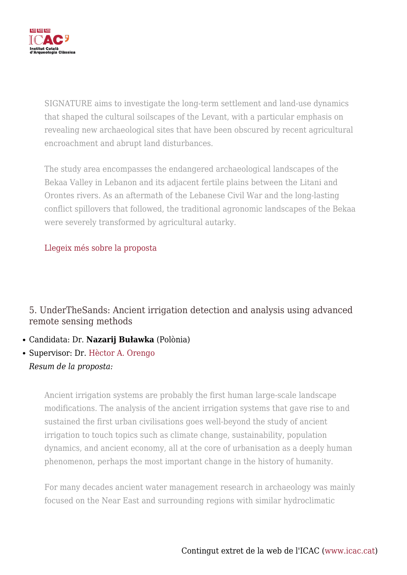

SIGNATURE aims to investigate the long-term settlement and land-use dynamics that shaped the cultural soilscapes of the Levant, with a particular emphasis on revealing new archaeological sites that have been obscured by recent agricultural encroachment and abrupt land disturbances.

The study area encompasses the endangered archaeological landscapes of the Bekaa Valley in Lebanon and its adjacent fertile plains between the Litani and Orontes rivers. As an aftermath of the Lebanese Civil War and the long-lasting conflict spillovers that followed, the traditional agronomic landscapes of the Bekaa were severely transformed by agricultural autarky.

# [Llegeix més sobre la proposta](https://giap.icac.cat/2022/03/21/5-msca-postdoc-grants-awarded-to-giap-icac/)

5. UnderTheSands: Ancient irrigation detection and analysis using advanced remote sensing methods

- Candidata: Dr. **Nazarij Buławka** (Polònia)
- Supervisor: Dr. [Hèctor A. Orengo](https://www.icac.cat/qui-som/personal/horengo/) *Resum de la proposta:*

Ancient irrigation systems are probably the first human large-scale landscape modifications. The analysis of the ancient irrigation systems that gave rise to and sustained the first urban civilisations goes well-beyond the study of ancient irrigation to touch topics such as climate change, sustainability, population dynamics, and ancient economy, all at the core of urbanisation as a deeply human phenomenon, perhaps the most important change in the history of humanity.

For many decades ancient water management research in archaeology was mainly focused on the Near East and surrounding regions with similar hydroclimatic